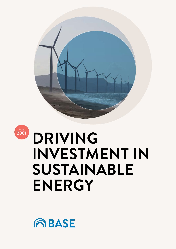



## **DRIVING INVESTMENT IN SUSTAINABLE ENERGY**

**ABASE**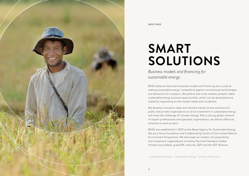

ABOUT BASE

# **SMART SOLUTIONS**

*Business models and financing for sustainable energy*

BASE believes that smart business models and financing are crucial to making sustainable energy<sup>1</sup> competitive against conventional technologies and attractive for investors. We believe that most markets present viable sustainable energy business opportunities, which can be developed and scaled by responding to the market needs and conditions.

We develop innovative ideas and tailored market-driven solutions for public and private organisations to drive investment in sustainable energy and meet the challenge of climate change. With a strong global network of expert professionals and specialist organisations, we deliver effective solutions to each project.

BASE was established in 2001 as the Basel Agency for Sustainable Energy. We are a Swiss foundation and Collaborating Centre of the United Nations Environment Programme. We have been an initiator of sustainability and investment organisations including The Gold Standard, Global Infrastructure Basel, greenTEK ventures, SEFI and the SEF Alliance.

<sup>1</sup> sustainable energy = renewable energy + energy efficiency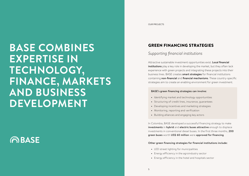## GREEN FINANCING STRATEGIES

## *Supporting financial institutions*

Attractive sustainable investment opportunities exist. Local financial institutions play a key role in developing the market, but they often lack experience with green projects and integrating these projects into their business lines. BASE creates smart strategies for financial institutions containing non-financial and financial mechanisms. These country-specific strategies aim to create an enabling environment for green investment.

In Colombia, BASE developed a successful financing strategy to make investments in hybrid and electric buses attractive enough to displace investments in conventional diesel buses. In the first three months, 200 green buses worth US\$ 60 million were approved for financing.

### BASE's green financing strategies can involve:

- **•** Identifying market and technology opportunities
- **•** Structuring of credit lines, insurance, guarantees
- **•** Developing incentives and marketing strategies
- **•** Monitoring, reporting and verification
- **•** Building alliances and engaging key actors

### Other green financing strategies for financial institutions include:

- **•** LED street lighting for municipalities
- **•** Energy efficiency in the agroindustry sector
- **•** Energy efficiency in the hotel and hospitals sector

## **BASE COMBINES EXPERTISE IN TECHNOLOGY, FINANCE, MARKETS AND BUSINESS DEVELOPMENT**

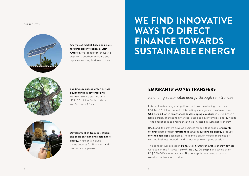## OUR PROJECTS **WE FIND INNOVATIVE WAYS TO DIRECT FINANCE TOWARDS SUSTAINABLE ENERGY**



## EMIGRANTS' MONEY TRANSFERS

### *Financing sustainable energy through remittances*

Future climate change mitigation could cost developing countries US\$ 140-175 billion annually. Interestingly, emigrants transferred over US\$ 400 billion in remittances to developing countries in 2013. Often a large portion of these remittances is used to cover families' energy needs – the challenge is to ensure that this is invested in sustainable energy.

BASE and its partners develop business models that enable emigrants to direct part of their remittances towards sustainable energy products for their families back home. The market-driven models make use of existing business networks and do not require on-going subsidies.

This concept was piloted in Haiti. Over 6,000 renewable energy devices were sold in the first year, benefiting 25,000 people and saving them US\$ 250,000 in energy costs. The concept is now being expanded to other remittance corridors.

Building specialised green private equity funds in key emerging markets. We are starting with US\$ 100 million funds in Mexico and Southern Africa.



Development of trainings, studies and tools on financing sustainable energy. Highlights include online courses for financiers and insurance companies.



Analysis of market-based solutions for rural electrification in Latin America. We looked for innovative ways to strengthen, scale-up and replicate existing business models.